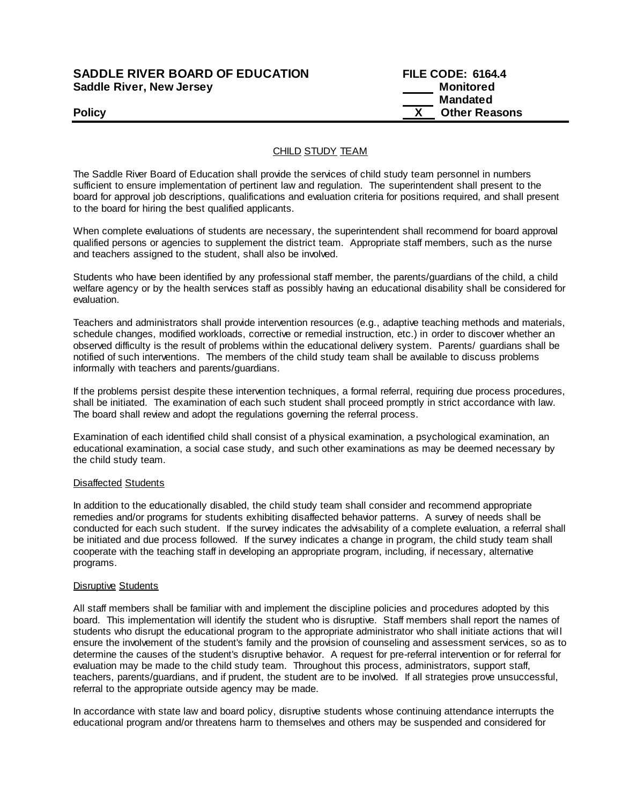# **SADDLE RIVER BOARD OF EDUCATION Saddle River, New Jersey**

| <b>SADDLE RIVER BOARD OF EDUCATION</b> | <b>FILE CODE: 6164.4</b> |
|----------------------------------------|--------------------------|
| Saddle River, New Jersey               | Monitored                |
|                                        | Mandated                 |
| <b>Policy</b>                          | <b>Other Reasons</b>     |

### CHILD STUDY TEAM

The Saddle River Board of Education shall provide the services of child study team personnel in numbers sufficient to ensure implementation of pertinent law and regulation. The superintendent shall present to the board for approval job descriptions, qualifications and evaluation criteria for positions required, and shall present to the board for hiring the best qualified applicants.

When complete evaluations of students are necessary, the superintendent shall recommend for board approval qualified persons or agencies to supplement the district team. Appropriate staff members, such as the nurse and teachers assigned to the student, shall also be involved.

Students who have been identified by any professional staff member, the parents/guardians of the child, a child welfare agency or by the health services staff as possibly having an educational disability shall be considered for evaluation.

Teachers and administrators shall provide intervention resources (e.g., adaptive teaching methods and materials, schedule changes, modified workloads, corrective or remedial instruction, etc.) in order to discover whether an observed difficulty is the result of problems within the educational delivery system. Parents/ guardians shall be notified of such interventions. The members of the child study team shall be available to discuss problems informally with teachers and parents/guardians.

If the problems persist despite these intervention techniques, a formal referral, requiring due process procedures, shall be initiated. The examination of each such student shall proceed promptly in strict accordance with law. The board shall review and adopt the regulations governing the referral process.

Examination of each identified child shall consist of a physical examination, a psychological examination, an educational examination, a social case study, and such other examinations as may be deemed necessary by the child study team.

### Disaffected Students

In addition to the educationally disabled, the child study team shall consider and recommend appropriate remedies and/or programs for students exhibiting disaffected behavior patterns. A survey of needs shall be conducted for each such student. If the survey indicates the advisability of a complete evaluation, a referral shall be initiated and due process followed. If the survey indicates a change in program, the child study team shall cooperate with the teaching staff in developing an appropriate program, including, if necessary, alternative programs.

## Disruptive Students

All staff members shall be familiar with and implement the discipline policies and procedures adopted by this board. This implementation will identify the student who is disruptive. Staff members shall report the names of students who disrupt the educational program to the appropriate administrator who shall initiate actions that wil l ensure the involvement of the student's family and the provision of counseling and assessment services, so as to determine the causes of the student's disruptive behavior. A request for pre-referral intervention or for referral for evaluation may be made to the child study team. Throughout this process, administrators, support staff, teachers, parents/guardians, and if prudent, the student are to be involved. If all strategies prove unsuccessful, referral to the appropriate outside agency may be made.

In accordance with state law and board policy, disruptive students whose continuing attendance interrupts the educational program and/or threatens harm to themselves and others may be suspended and considered for